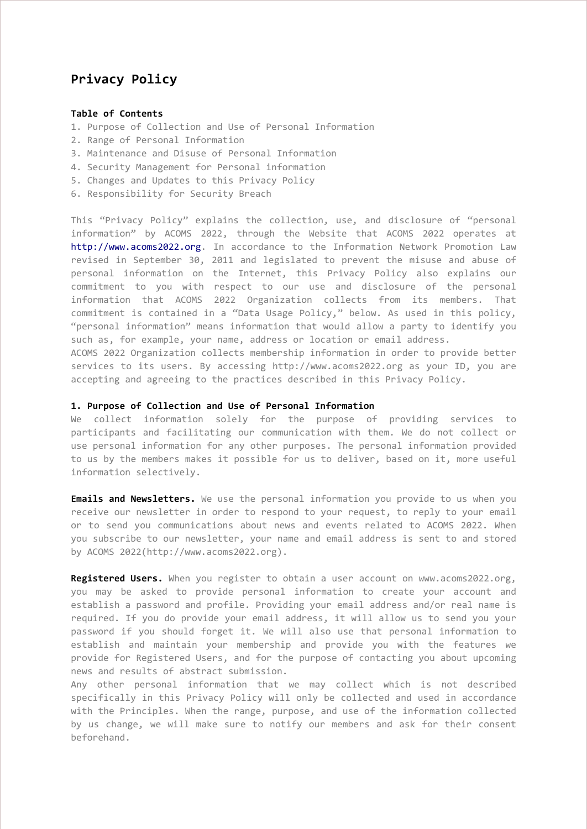# Privacy Policy

## Table of Contents

- 1. Purpose of Collection and Use of Personal Information
- 2. Range of Personal Information
- 3. Maintenance and Disuse of Personal Information
- 4. Security Management for Personal information
- 5. Changes and Updates to this Privacy Policy
- 6. Responsibility for Security Breach

This "Privacy Policy" explains the collection, use, and disclosure of "personal information" by ACOMS 2022, through the Website that ACOMS 2022 operates at http://www.acoms2022.org. In accordance to the Information Network Promotion Law revised in September 30, 2011 and legislated to prevent the misuse and abuse of personal information on the Internet, this Privacy Policy also explains our commitment to you with respect to our use and disclosure of the personal information that ACOMS 2022 Organization collects from its members. That commitment is contained in a "Data Usage Policy," below. As used in this policy, "personal information" means information that would allow a party to identify you such as, for example, your name, address or location or email address.

ACOMS 2022 Organization collects membership information in order to provide better services to its users. By accessing http://www.acoms2022.org as your ID, you are accepting and agreeing to the practices described in this Privacy Policy.

#### 1. Purpose of Collection and Use of Personal Information

We collect information solely for the purpose of providing services to participants and facilitating our communication with them. We do not collect or use personal information for any other purposes. The personal information provided to us by the members makes it possible for us to deliver, based on it, more useful information selectively.

Emails and Newsletters. We use the personal information you provide to us when you receive our newsletter in order to respond to your request, to reply to your email or to send you communications about news and events related to ACOMS 2022. When you subscribe to our newsletter, your name and email address is sent to and stored by ACOMS 2022(http://www.acoms2022.org).

Registered Users. When you register to obtain a user account on www.acoms2022.org, you may be asked to provide personal information to create your account and establish a password and profile. Providing your email address and/or real name is required. If you do provide your email address, it will allow us to send you your password if you should forget it. We will also use that personal information to establish and maintain your membership and provide you with the features we provide for Registered Users, and for the purpose of contacting you about upcoming news and results of abstract submission.

Any other personal information that we may collect which is not described specifically in this Privacy Policy will only be collected and used in accordance with the Principles. When the range, purpose, and use of the information collected by us change, we will make sure to notify our members and ask for their consent beforehand.